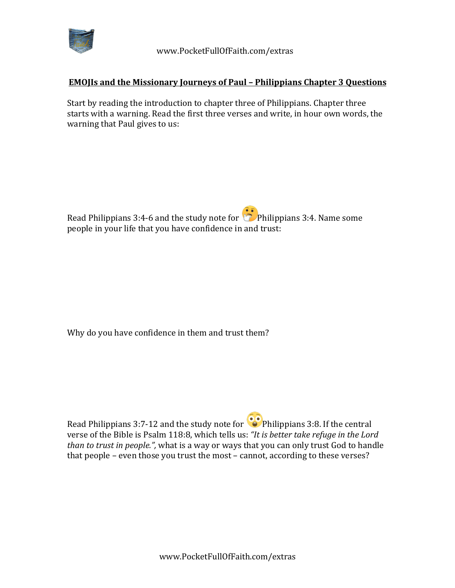

## **EMOJIs and the Missionary Journeys of Paul – Philippians Chapter 3 Questions**

Start by reading the introduction to chapter three of Philippians. Chapter three starts with a warning. Read the first three verses and write, in hour own words, the warning that Paul gives to us:

Read Philippians 3:4-6 and the study note for  $\bullet$  Philippians 3:4. Name some people in your life that you have confidence in and trust:

Why do you have confidence in them and trust them?

Read Philippians 3:7-12 and the study note for  $\odot$  Philippians 3:8. If the central verse of the Bible is Psalm 118:8, which tells us: "It is better take refuge in the Lord *than to trust in people."*, what is a way or ways that you can only trust God to handle that people - even those you trust the most - cannot, according to these verses?